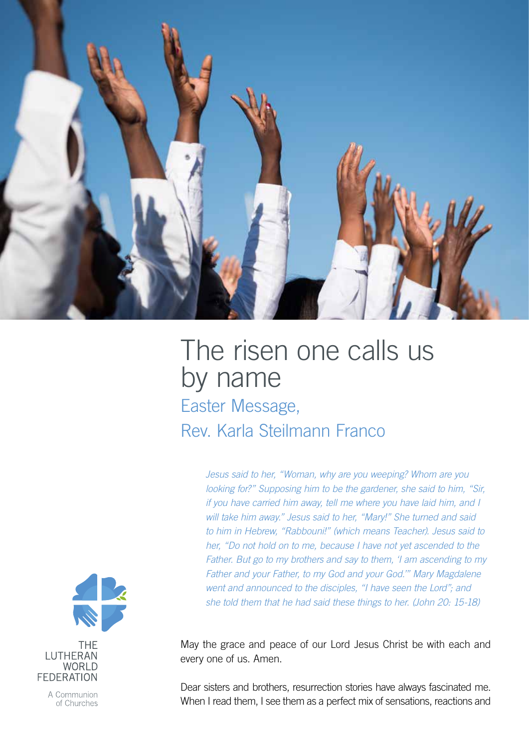

## The risen one calls us by name Easter Message, Rev. Karla Steilmann Franco

*Jesus said to her, "Woman, why are you weeping? Whom are you looking for?" Supposing him to be the gardener, she said to him, "Sir, if you have carried him away, tell me where you have laid him, and I will take him away." Jesus said to her, "Mary!" She turned and said to him in Hebrew, "Rabbouni!" (which means Teacher). Jesus said to her, "Do not hold on to me, because I have not yet ascended to the Father. But go to my brothers and say to them, 'I am ascending to my Father and your Father, to my God and your God.'" Mary Magdalene went and announced to the disciples, "I have seen the Lord"; and she told them that he had said these things to her. (John 20: 15-18)*

May the grace and peace of our Lord Jesus Christ be with each and every one of us. Amen.

Dear sisters and brothers, resurrection stories have always fascinated me. When I read them, I see them as a perfect mix of sensations, reactions and



A Communion of Churches